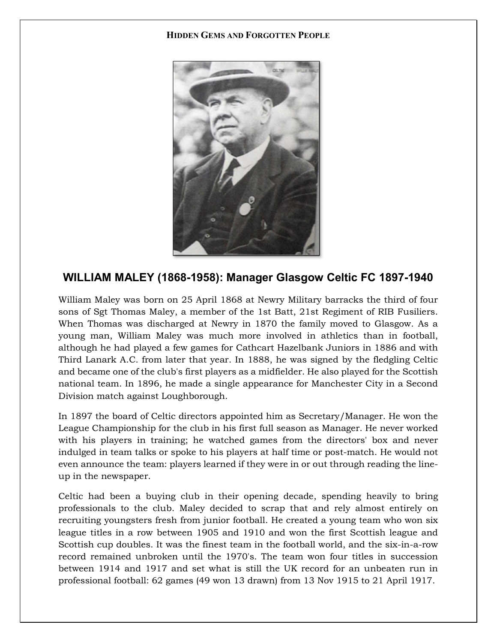## HIDDEN GEMS AND FORGOTTEN PEOPLE



## WILLIAM MALEY (1868-1958): Manager Glasgow Celtic FC 1897-1940

William Maley was born on 25 April 1868 at Newry Military barracks the third of four sons of Sgt Thomas Maley, a member of the 1st Batt, 21st Regiment of RIB Fusiliers. When Thomas was discharged at Newry in 1870 the family moved to Glasgow. As a young man, William Maley was much more involved in athletics than in football, although he had played a few games for Cathcart Hazelbank Juniors in 1886 and with Third Lanark A.C. from later that year. In 1888, he was signed by the fledgling Celtic and became one of the club's first players as a midfielder. He also played for the Scottish national team. In 1896, he made a single appearance for Manchester City in a Second Division match against Loughborough.

In 1897 the board of Celtic directors appointed him as Secretary/Manager. He won the League Championship for the club in his first full season as Manager. He never worked with his players in training; he watched games from the directors' box and never indulged in team talks or spoke to his players at half time or post-match. He would not even announce the team: players learned if they were in or out through reading the lineup in the newspaper.

Celtic had been a buying club in their opening decade, spending heavily to bring professionals to the club. Maley decided to scrap that and rely almost entirely on recruiting youngsters fresh from junior football. He created a young team who won six league titles in a row between 1905 and 1910 and won the first Scottish league and Scottish cup doubles. It was the finest team in the football world, and the six-in-a-row record remained unbroken until the 1970's. The team won four titles in succession between 1914 and 1917 and set what is still the UK record for an unbeaten run in professional football: 62 games (49 won 13 drawn) from 13 Nov 1915 to 21 April 1917.